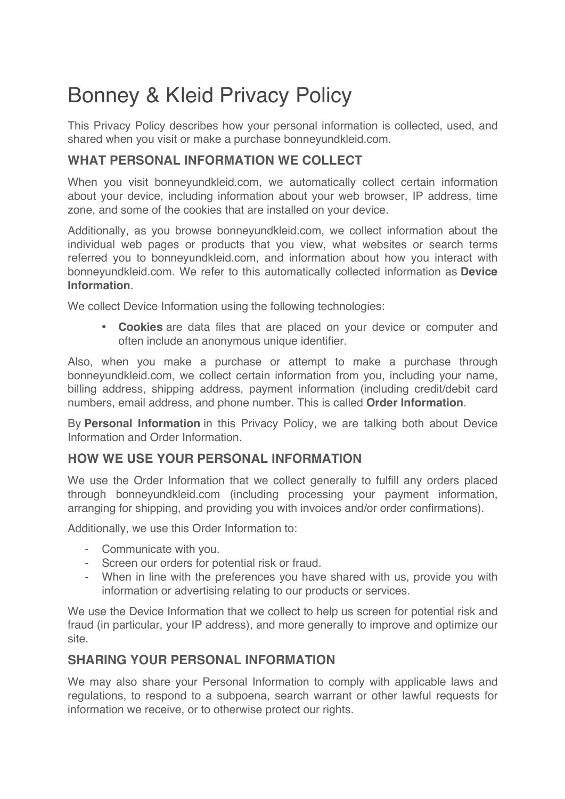# Bonney & Kleid Privacy Policy

This Privacy Policy describes how your personal information is collected, used, and shared when you visit or make a purchase bonneyundkleid.com.

## **WHAT PERSONAL INFORMATION WE COLLECT**

When you visit bonneyundkleid.com, we automatically collect certain information about your device, including information about your web browser, IP address, time zone, and some of the cookies that are installed on your device.

Additionally, as you browse bonneyundkleid.com, we collect information about the individual web pages or products that you view, what websites or search terms referred you to bonneyundkleid.com, and information about how you interact with bonneyundkleid.com. We refer to this automatically collected information as **Device Information**.

We collect Device Information using the following technologies:

• **Cookies** are data files that are placed on your device or computer and often include an anonymous unique identifier.

Also, when you make a purchase or attempt to make a purchase through bonneyundkleid.com, we collect certain information from you, including your name, billing address, shipping address, payment information (including credit/debit card numbers, email address, and phone number. This is called **Order Information**.

By **Personal Information** in this Privacy Policy, we are talking both about Device Information and Order Information.

### **HOW WE USE YOUR PERSONAL INFORMATION**

We use the Order Information that we collect generally to fulfill any orders placed through bonneyundkleid.com (including processing your payment information, arranging for shipping, and providing you with invoices and/or order confirmations).

Additionally, we use this Order Information to:

- Communicate with you.
- Screen our orders for potential risk or fraud.
- When in line with the preferences you have shared with us, provide you with information or advertising relating to our products or services.

We use the Device Information that we collect to help us screen for potential risk and fraud (in particular, your IP address), and more generally to improve and optimize our site.

### **SHARING YOUR PERSONAL INFORMATION**

We may also share your Personal Information to comply with applicable laws and regulations, to respond to a subpoena, search warrant or other lawful requests for information we receive, or to otherwise protect our rights.